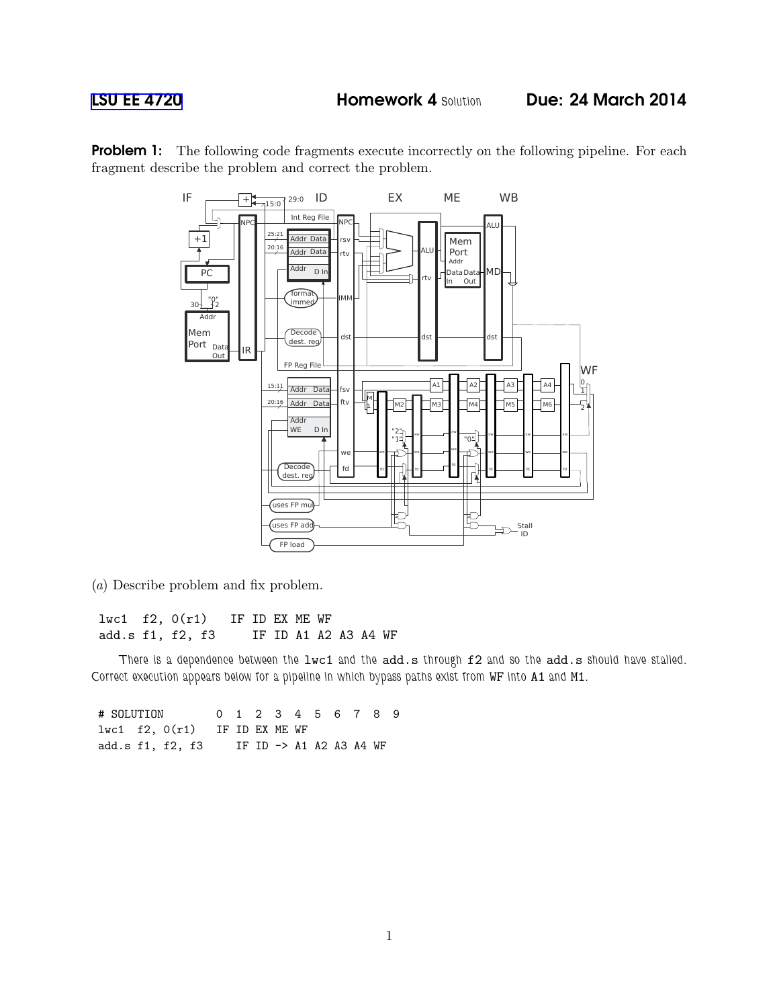**Problem 1:** The following code fragments execute incorrectly on the following pipeline. For each fragment describe the problem and correct the problem.



(a) Describe problem and fix problem.

lwc1 f2, 0(r1) IF ID EX ME WF add.s f1, f2, f3 IF ID A1 A2 A3 A4 WF

*There is a dependence between the* lwc1 *and the* add.s *through* f2 *and so the* add.s *should have stalled. Correct execution appears below for a pipeline in which bypass paths exist from* WF *into* A1 *and* M1*.*

# SOLUTION 0 1 2 3 4 5 6 7 8 9 lwc1 f2, 0(r1) IF ID EX ME WF add.s f1, f2, f3 IF ID -> A1 A2 A3 A4 WF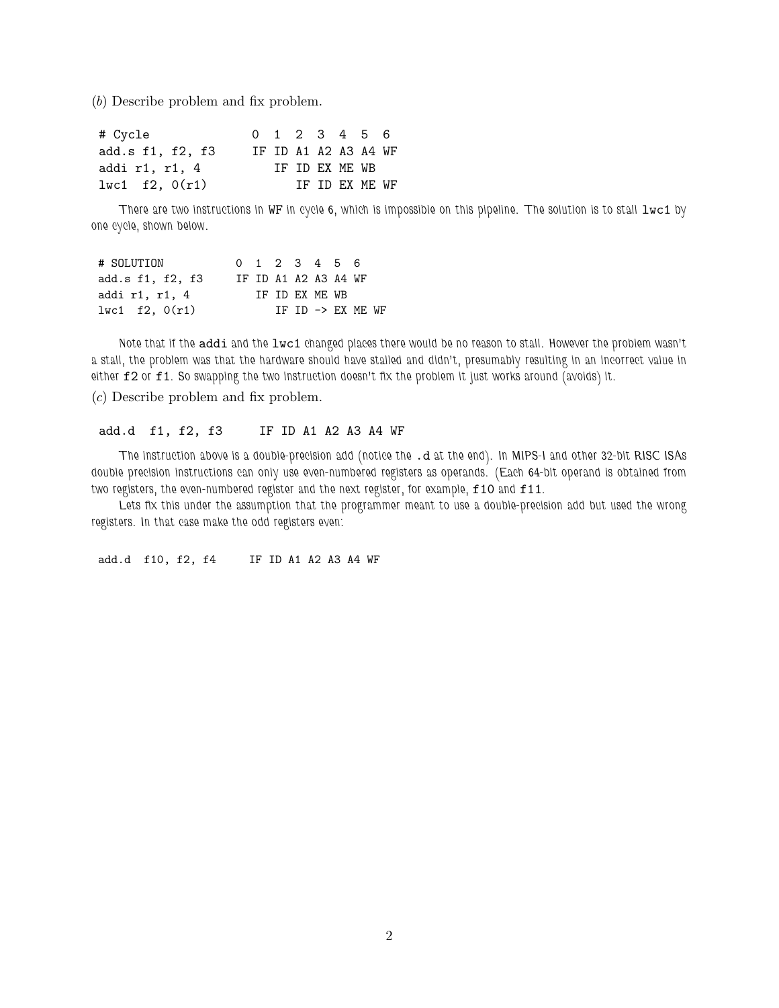(b) Describe problem and fix problem.

| # Cycle            | 0 1 2 3 4 5 6 |  |                      |  |
|--------------------|---------------|--|----------------------|--|
| add.s f1, f2, f3   |               |  | IF ID A1 A2 A3 A4 WF |  |
| addi r1, r1, 4     |               |  | TF TD FX MF. WB      |  |
| 1 w c 1 f 2, 0(r1) |               |  | TF TD FX MF. WF      |  |

*There are two instructions in WF in cycle 6, which is impossible on this pipeline. The solution is to stall*  $1wc1$  *by one cycle, shown below.*

| # SOLUTION         | 0 1 2 3 4 5 6 |  |                 |                      |  |
|--------------------|---------------|--|-----------------|----------------------|--|
| add.s f1, f2, f3   |               |  |                 | IF ID A1 A2 A3 A4 WF |  |
| addi r1, r1, 4     |               |  | TF TD FX MF. WB |                      |  |
| 1 w c 1 f 2, 0(r1) |               |  |                 | TF TD -> FX MF. WF   |  |

*Note that if the* addi *and the* lwc1 *changed places there would be no reason to stall. However the problem wasn't a stall, the problem was that the hardware should have stalled and didn't, presumably resulting in an incorrect value in either* f2 *or* f1*. So swapping the two instruction doesn't fix the problem it just works around (avoids) it.*

(c) Describe problem and fix problem.

## add.d f1, f2, f3 IF ID A1 A2 A3 A4 WF

*The instruction above is a double-precision add (notice the* .d *at the end). In MIPS-I and other 32-bit RISC ISAs double precision instructions can only use even-numbered registers as operands. (Each 64-bit operand is obtained from two registers, the even-numbered register and the next register, for example,* f10 *and* f11*.*

*Lets fix this under the assumption that the programmer meant to use a double-precision add but used the wrong registers. In that case make the odd registers even:*

add.d f10, f2, f4 IF ID A1 A2 A3 A4 WF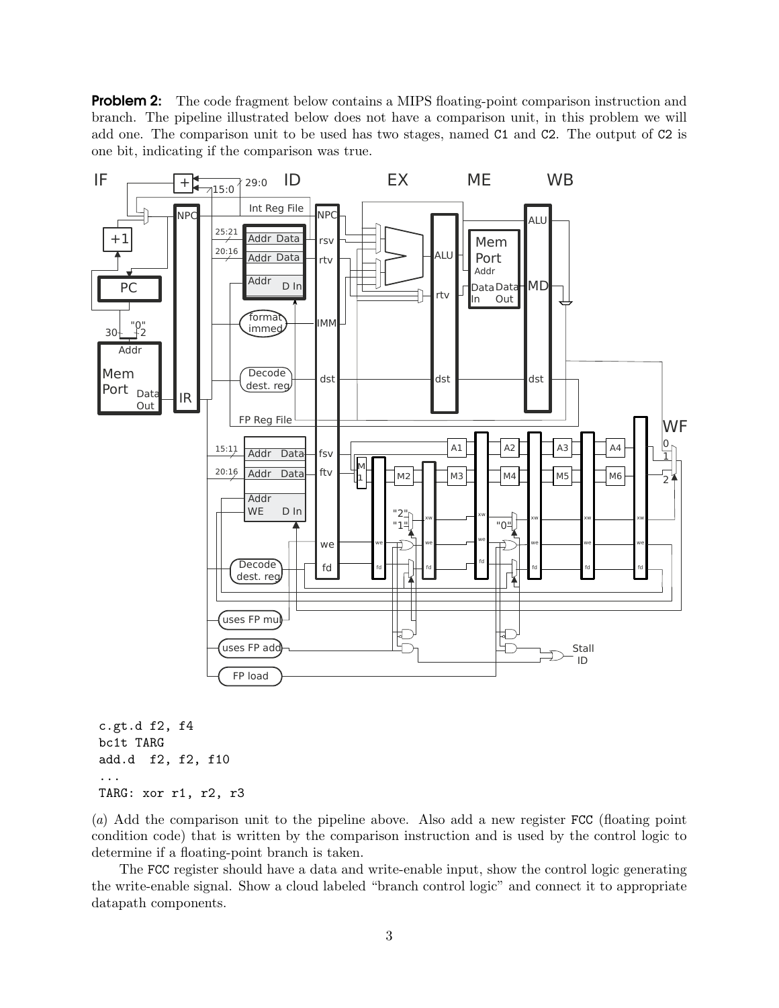**Problem 2:** The code fragment below contains a MIPS floating-point comparison instruction and branch. The pipeline illustrated below does not have a comparison unit, in this problem we will add one. The comparison unit to be used has two stages, named C1 and C2. The output of C2 is one bit, indicating if the comparison was true.



```
c.gt.d f2, f4
bc1t TARG
add.d f2, f2, f10
...
TARG: xor r1, r2, r3
```
(a) Add the comparison unit to the pipeline above. Also add a new register FCC (floating point condition code) that is written by the comparison instruction and is used by the control logic to determine if a floating-point branch is taken.

The FCC register should have a data and write-enable input, show the control logic generating the write-enable signal. Show a cloud labeled "branch control logic" and connect it to appropriate datapath components.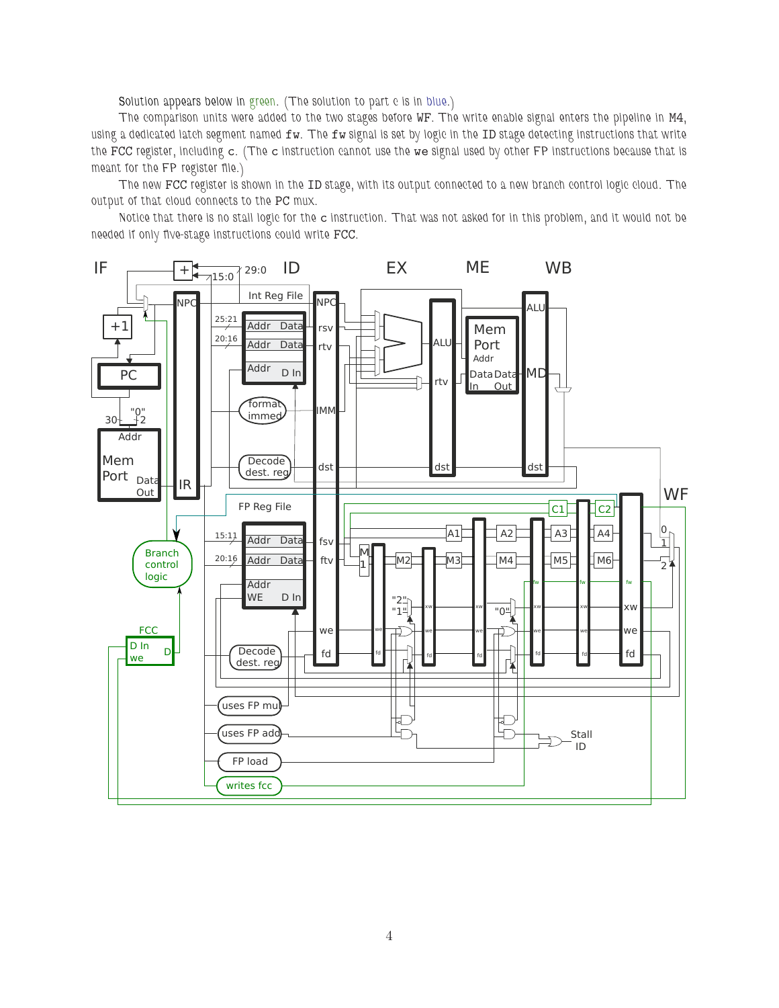*Solution appears below in green. (The solution to part c is in blue.)*

*The comparison units were added to the two stages before* WF*. The write enable signal enters the pipeline in* M4*, using a dedicated latch segment named* fw*. The* fw *signal is set by logic in the* ID *stage detecting instructions that write the* FCC *register, including* c*. (The* c *instruction cannot use the* we *signal used by other FP instructions because that is meant for the FP register file.)*

*The new* FCC *register is shown in the* ID *stage, with its output connected to a new branch control logic cloud. The output of that cloud connects to the* PC *mux.*

*Notice that there is no stall logic for the* c *instruction. That was not asked for in this problem, and it would not be needed if only five-stage instructions could write* FCC*.*